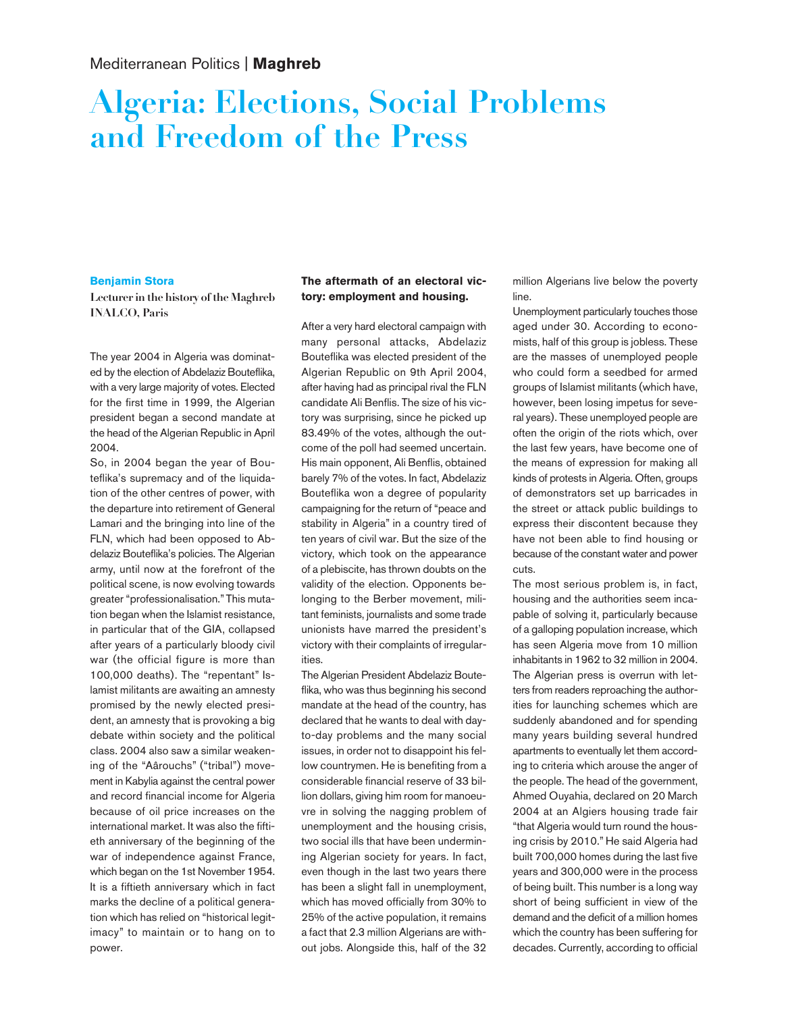# **Algeria: Elections, Social Problems and Freedom of the Press**

#### **Benjamin Stora**

**Lecturer in the history of the Maghreb INALCO, Paris**

The year 2004 in Algeria was dominated by the election of Abdelaziz Bouteflika, with a very large majority of votes. Elected for the first time in 1999, the Algerian president began a second mandate at the head of the Algerian Republic in April 2004.

So, in 2004 began the year of Bouteflika's supremacy and of the liquidation of the other centres of power, with the departure into retirement of General Lamari and the bringing into line of the FLN, which had been opposed to Abdelaziz Bouteflika's policies. The Algerian army, until now at the forefront of the political scene, is now evolving towards greater "professionalisation." This mutation began when the Islamist resistance, in particular that of the GIA, collapsed after years of a particularly bloody civil war (the official figure is more than 100,000 deaths). The "repentant" Islamist militants are awaiting an amnesty promised by the newly elected president, an amnesty that is provoking a big debate within society and the political class. 2004 also saw a similar weakening of the "Aârouchs" ("tribal") movement in Kabylia against the central power and record financial income for Algeria because of oil price increases on the international market. It was also the fiftieth anniversary of the beginning of the war of independence against France, which began on the 1st November 1954. It is a fiftieth anniversary which in fact marks the decline of a political generation which has relied on "historical legitimacy" to maintain or to hang on to power.

## **The aftermath of an electoral victory: employment and housing.**

After a very hard electoral campaign with many personal attacks, Abdelaziz Bouteflika was elected president of the Algerian Republic on 9th April 2004, after having had as principal rival the FLN candidate Ali Benflis. The size of his victory was surprising, since he picked up 83.49% of the votes, although the outcome of the poll had seemed uncertain. His main opponent, Ali Benflis, obtained barely 7% of the votes. In fact, Abdelaziz Bouteflika won a degree of popularity campaigning for the return of "peace and stability in Algeria" in a country tired of ten years of civil war. But the size of the victory, which took on the appearance of a plebiscite, has thrown doubts on the validity of the election. Opponents belonging to the Berber movement, militant feminists, journalists and some trade unionists have marred the president's victory with their complaints of irregularities.

The Algerian President Abdelaziz Bouteflika, who was thus beginning his second mandate at the head of the country, has declared that he wants to deal with dayto-day problems and the many social issues, in order not to disappoint his fellow countrymen. He is benefiting from a considerable financial reserve of 33 billion dollars, giving him room for manoeuvre in solving the nagging problem of unemployment and the housing crisis, two social ills that have been undermining Algerian society for years. In fact, even though in the last two years there has been a slight fall in unemployment, which has moved officially from 30% to 25% of the active population, it remains a fact that 2.3 million Algerians are without jobs. Alongside this, half of the 32 million Algerians live below the poverty line.

Unemployment particularly touches those aged under 30. According to economists, half of this group is jobless. These are the masses of unemployed people who could form a seedbed for armed groups of Islamist militants (which have, however, been losing impetus for several years). These unemployed people are often the origin of the riots which, over the last few years, have become one of the means of expression for making all kinds of protests in Algeria. Often, groups of demonstrators set up barricades in the street or attack public buildings to express their discontent because they have not been able to find housing or because of the constant water and power cuts.

The most serious problem is, in fact, housing and the authorities seem incapable of solving it, particularly because of a galloping population increase, which has seen Algeria move from 10 million inhabitants in 1962 to 32 million in 2004. The Algerian press is overrun with letters from readers reproaching the authorities for launching schemes which are suddenly abandoned and for spending many years building several hundred apartments to eventually let them according to criteria which arouse the anger of the people. The head of the government, Ahmed Ouyahia, declared on 20 March 2004 at an Algiers housing trade fair "that Algeria would turn round the housing crisis by 2010." He said Algeria had built 700,000 homes during the last five years and 300,000 were in the process of being built. This number is a long way short of being sufficient in view of the demand and the deficit of a million homes which the country has been suffering for decades. Currently, according to official